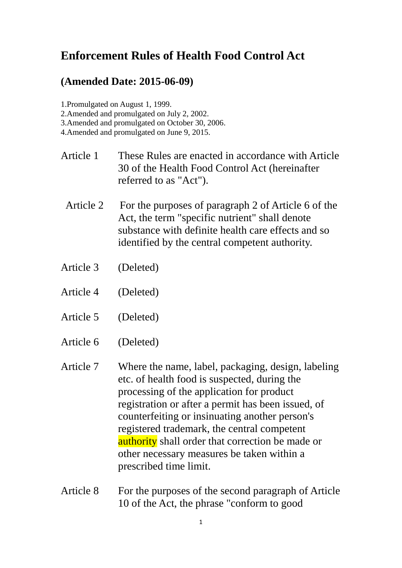## **Enforcement Rules of Health Food Control Act**

## **(Amended Date: 2015-06-09)**

1.Promulgated on August 1, 1999.

2.Amended and promulgated on July 2, 2002.

3.Amended and promulgated on October 30, 2006.

4.Amended and promulgated on June 9, 2015.

- Article 1 These Rules are enacted in accordance with Article 30 of the Health Food Control Act (hereinafter referred to as "Act").
- Article 2 For the purposes of paragraph 2 of Article 6 of the Act, the term "specific nutrient" shall denote substance with definite health care effects and so identified by the central competent authority.
- Article 3 (Deleted)
- Article 4 (Deleted)
- Article 5 (Deleted)
- Article 6 (Deleted)
- Article 7 Where the name, label, packaging, design, labeling etc. of health food is suspected, during the processing of the application for product registration or after a permit has been issued, of counterfeiting or insinuating another person's registered trademark, the central competent **authority** shall order that correction be made or other necessary measures be taken within a prescribed time limit.
- Article 8 For the purposes of the second paragraph of Article 10 of the Act, the phrase "conform to good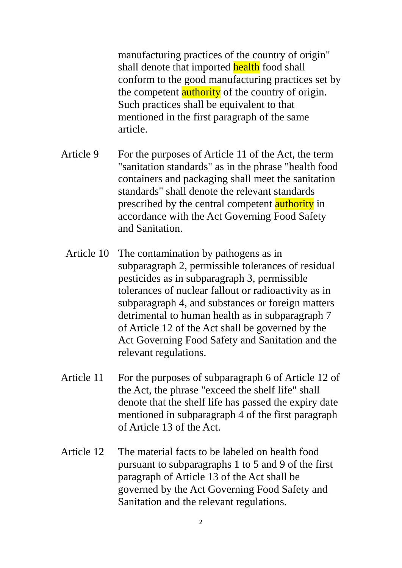manufacturing practices of the country of origin" shall denote that imported health food shall conform to the good manufacturing practices set by the competent **authority** of the country of origin. Such practices shall be equivalent to that mentioned in the first paragraph of the same article.

- Article 9 For the purposes of Article 11 of the Act, the term "sanitation standards" as in the phrase "health food containers and packaging shall meet the sanitation standards" shall denote the relevant standards prescribed by the central competent **authority** in accordance with the Act Governing Food Safety and Sanitation.
	- Article 10 The contamination by pathogens as in subparagraph 2, permissible tolerances of residual pesticides as in subparagraph 3, permissible tolerances of nuclear fallout or radioactivity as in subparagraph 4, and substances or foreign matters detrimental to human health as in subparagraph 7 of Article 12 of the Act shall be governed by the Act Governing Food Safety and Sanitation and the relevant regulations.
- Article 11 For the purposes of subparagraph 6 of Article 12 of the Act, the phrase "exceed the shelf life" shall denote that the shelf life has passed the expiry date mentioned in subparagraph 4 of the first paragraph of Article 13 of the Act.
- Article 12 The material facts to be labeled on health food pursuant to subparagraphs 1 to 5 and 9 of the first paragraph of Article 13 of the Act shall be governed by the Act Governing Food Safety and Sanitation and the relevant regulations.